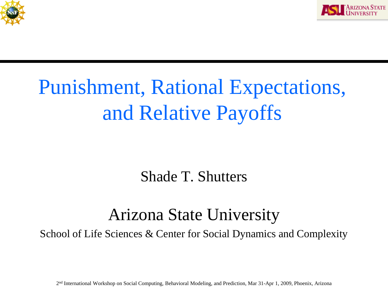



#### Punishment, Rational Expectations, and Relative Payoffs

Shade T. Shutters

#### Arizona State University

School of Life Sciences & Center for Social Dynamics and Complexity

2nd International Workshop on Social Computing, Behavioral Modeling, and Prediction, Mar 31-Apr 1, 2009, Phoenix, Arizona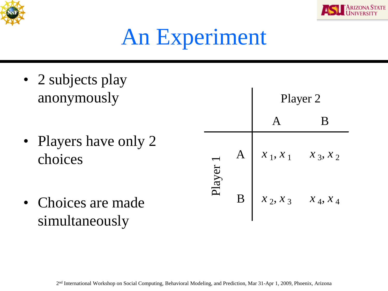



# An Experiment

- 2 subjects play anonymously
- Players have only 2 choices
- Choices are made simultaneously

|       |             | Player 2   |            |
|-------|-------------|------------|------------|
|       |             |            | B          |
| layer | $\mathbf A$ | $x_1, x_1$ | $x_3, x_2$ |
|       | B           | $x_2, x_3$ | $x_4, x_4$ |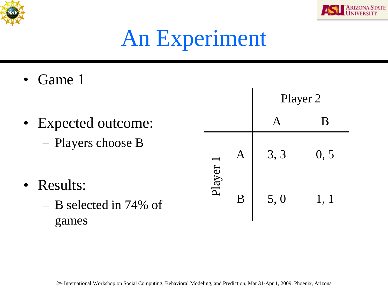



Player 2

# An Experiment

- Game 1
- Expected outcome: – Players choose B • Results: – B selected in 74% of games A B  $A \begin{bmatrix} 3 & 3 \\ 0 & 5 \end{bmatrix}$  $\begin{array}{|c|c|c|} \hline \text{B} & \text{5,0} & \text{1,1} \ \hline \end{array}$ Player 1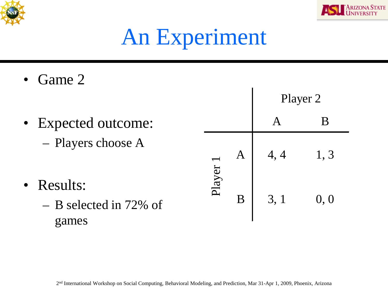



Player 2

# An Experiment

Game 2

games

• Expected outcome: – Players choose A • Results: – B selected in 72% of A B  $A \mid 4, 4 \mid 1, 3$  $\begin{array}{|c|c|c|} \hline \text{B} & \text{3, 1} & \text{0, 0} \ \hline \end{array}$ Player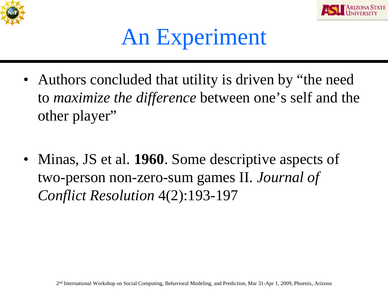



#### An Experiment

- Authors concluded that utility is driven by "the need" to *maximize the difference* between one's self and the other player"
- Minas, JS et al. **1960**. Some descriptive aspects of two-person non-zero-sum games II. *Journal of Conflict Resolution* 4(2):193-197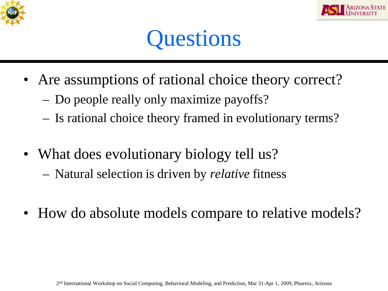



#### **Questions**

- Are assumptions of rational choice theory correct?
	- Do people really only maximize payoffs?
	- Is rational choice theory framed in evolutionary terms?
- What does evolutionary biology tell us?
	- Natural selection is driven by *relative* fitness
- How do absolute models compare to relative models?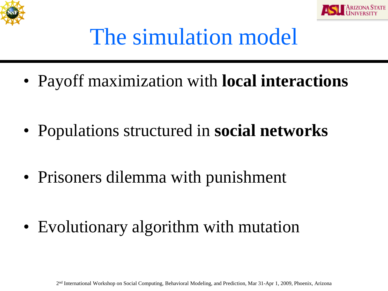



#### The simulation model

• Payoff maximization with **local interactions**

- Populations structured in **social networks**
- Prisoners dilemma with punishment

• Evolutionary algorithm with mutation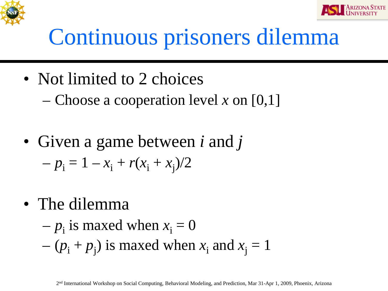



# Continuous prisoners dilemma

- Not limited to 2 choices
	- Choose a cooperation level *x* on [0,1]
- Given a game between *i* and *j*  $-p_i = 1 - x_i + r(x_i + x_j)/2$
- The dilemma

$$
-p_i
$$
 is maxed when  $x_i = 0$   
- $(p_i + p_j)$  is maxed when  $x_i$  and  $x_j = 1$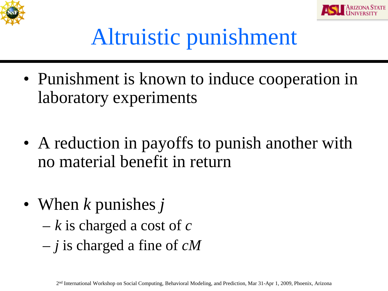



### Altruistic punishment

- Punishment is known to induce cooperation in laboratory experiments
- A reduction in payoffs to punish another with no material benefit in return
- When *k* punishes *j*
	- *k* is charged a cost of *c*
	- *j* is charged a fine of *cM*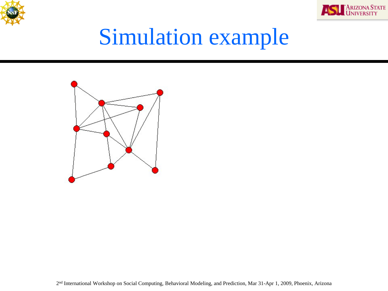



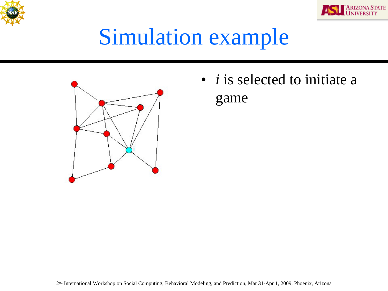





• *i* is selected to initiate a game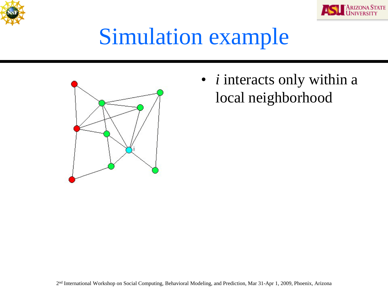





• *i* interacts only within a local neighborhood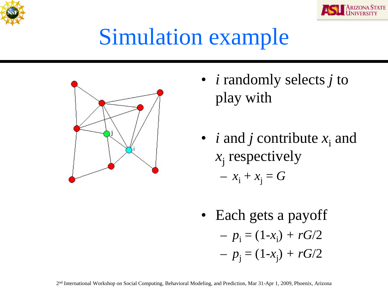





- *i* randomly selects *j* to play with
- *i* and *j* contribute  $x_i$  and  $x_i$  respectively  $- x_i + x_j = G$
- Each gets a payoff  $-p_i = (1-x_i) + rG/2$  $-p_j = (1-x_j) + rG/2$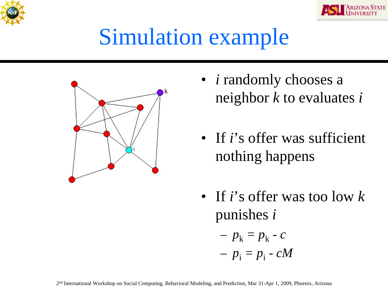





- *i* randomly chooses a neighbor *k* to evaluates *i*
- If *i*'s offer was sufficient nothing happens
- If *i*'s offer was too low *k*  punishes *i*

$$
- p_{k} = p_{k} - c
$$

 $-p_i = p_i - cM$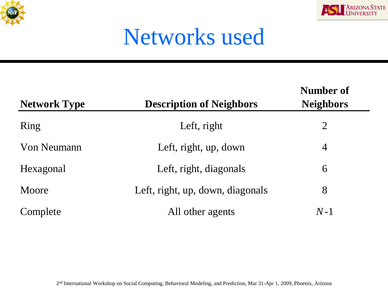



#### Networks used

| <b>Network Type</b> | <b>Description of Neighbors</b>  | Number of<br><b>Neighbors</b> |
|---------------------|----------------------------------|-------------------------------|
| Ring                | Left, right                      | 2                             |
| <b>Von Neumann</b>  | Left, right, up, down            | $\overline{4}$                |
| Hexagonal           | Left, right, diagonals           | 6                             |
| Moore               | Left, right, up, down, diagonals | 8                             |
| Complete            | All other agents                 | $N-1$                         |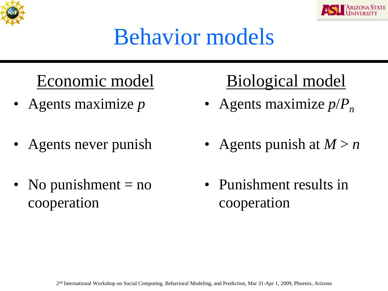



### Behavior models

#### Economic model

- Agents maximize *p*
- Agents never punish
- No punishment  $=$  no cooperation

#### Biological model

- Agents maximize  $p/P_n$
- Agents punish at  $M > n$
- Punishment results in cooperation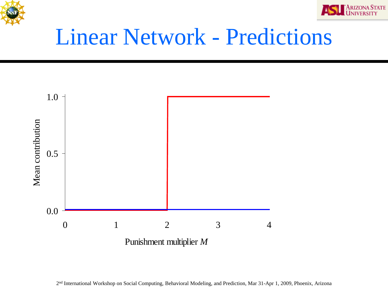



#### Linear Network - Predictions

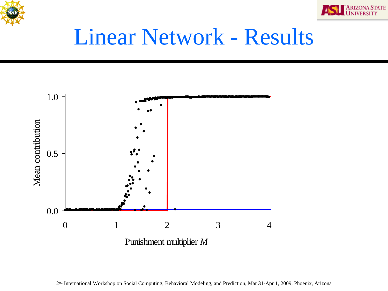



#### Linear Network - Results

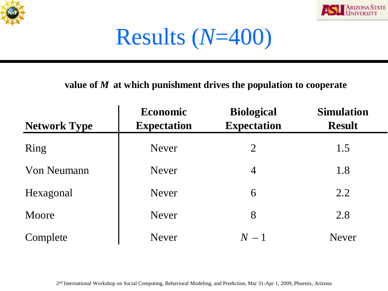



Results (*N*=400)

#### **value of** *M* **at which punishment drives the population to cooperate**

| <b>Network Type</b> | <b>Economic</b><br><b>Expectation</b> | <b>Biological</b><br><b>Expectation</b> | <b>Simulation</b><br><b>Result</b> |
|---------------------|---------------------------------------|-----------------------------------------|------------------------------------|
| Ring                | <b>Never</b>                          | $\overline{2}$                          | 1.5                                |
| <b>Von Neumann</b>  | <b>Never</b>                          | $\overline{4}$                          | 1.8                                |
| Hexagonal           | <b>Never</b>                          | 6                                       | 2.2                                |
| Moore               | <b>Never</b>                          | 8                                       | 2.8                                |
| Complete            | <b>Never</b>                          | $N-1$                                   | <b>Never</b>                       |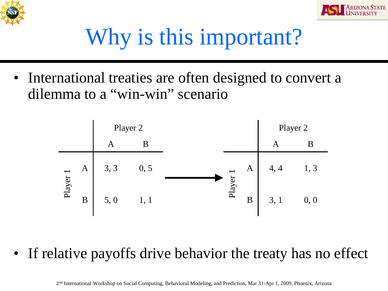



# Why is this important?

• International treaties are often designed to convert a dilemma to a "win-win" scenario



• If relative payoffs drive behavior the treaty has no effect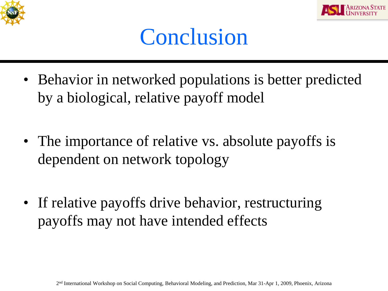



#### Conclusion

- Behavior in networked populations is better predicted by a biological, relative payoff model
- The importance of relative vs. absolute payoffs is dependent on network topology
- If relative payoffs drive behavior, restructuring payoffs may not have intended effects